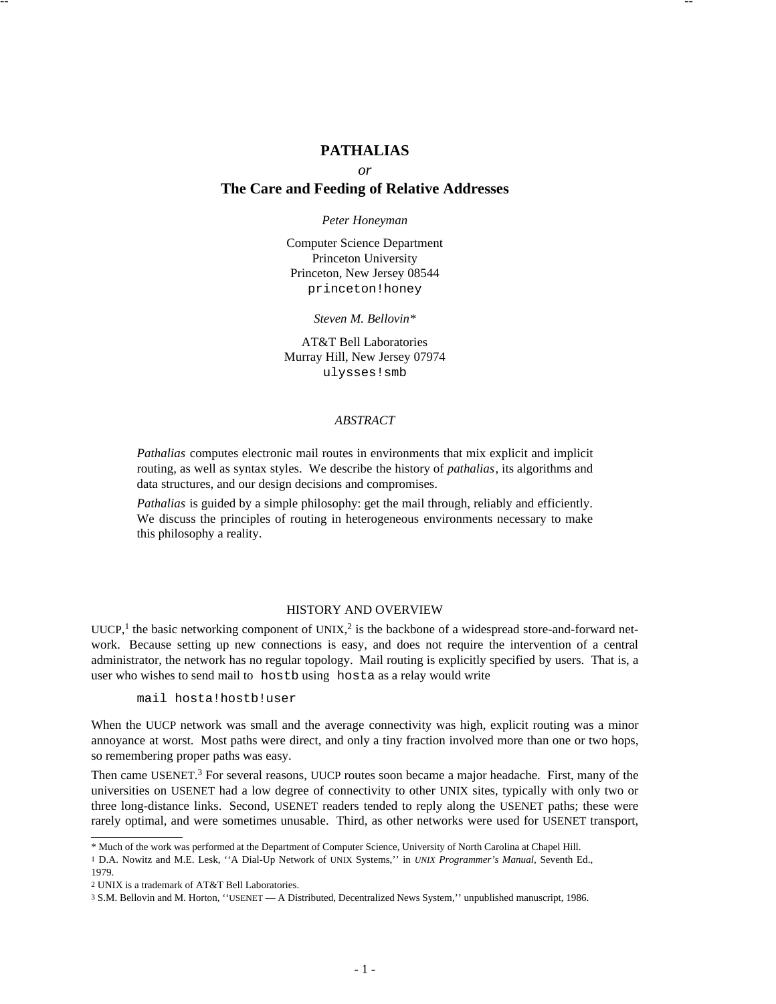# **PATHALIAS**

-- --

*or*

# **The Care and Feeding of Relative Addresses**

*Peter Honeyman*

Computer Science Department Princeton University Princeton, New Jersey 08544 princeton!honey

*Steven M. Bellovin\**

AT&T Bell Laboratories Murray Hill, New Jersey 07974 ulysses!smb

## *ABSTRACT*

*Pathalias* computes electronic mail routes in environments that mix explicit and implicit routing, as well as syntax styles. We describe the history of *pathalias*, its algorithms and data structures, and our design decisions and compromises.

*Pathalias* is guided by a simple philosophy: get the mail through, reliably and efficiently. We discuss the principles of routing in heterogeneous environments necessary to make this philosophy a reality.

# HISTORY AND OVERVIEW

UUCP,<sup>1</sup> the basic networking component of UNIX,<sup>2</sup> is the backbone of a widespread store-and-forward network. Because setting up new connections is easy, and does not require the intervention of a central administrator, the network has no regular topology. Mail routing is explicitly specified by users. That is, a user who wishes to send mail to hostb using hosta as a relay would write

mail hosta!hostb!user

When the UUCP network was small and the average connectivity was high, explicit routing was a minor annoyance at worst. Most paths were direct, and only a tiny fraction involved more than one or two hops, so remembering proper paths was easy.

Then came USENET.<sup>3</sup> For several reasons, UUCP routes soon became a major headache. First, many of the universities on USENET had a low degree of connectivity to other UNIX sites, typically with only two or three long-distance links. Second, USENET readers tended to reply along the USENET paths; these were rarely optimal, and were sometimes unusable. Third, as other networks were used for USENET transport,

<sup>\*</sup> Much of the work was performed at the Department of Computer Science, University of North Carolina at Chapel Hill.

<sup>1</sup> D.A. Nowitz and M.E. Lesk, ''A Dial-Up Network of UNIX Systems,'' in *UNIX Programmer's Manual,* Seventh Ed., 1979.

<sup>2</sup> UNIX is a trademark of AT&T Bell Laboratories.

<sup>3</sup> S.M. Bellovin and M. Horton, ''USENET — A Distributed, Decentralized News System,'' unpublished manuscript, 1986.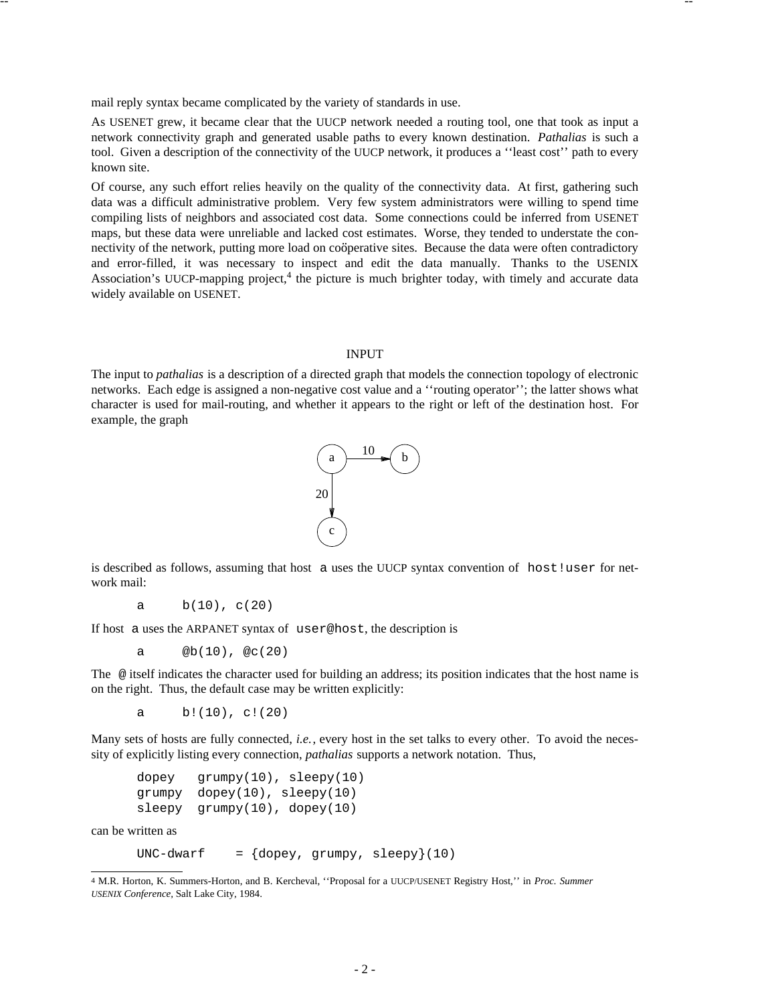mail reply syntax became complicated by the variety of standards in use.

As USENET grew, it became clear that the UUCP network needed a routing tool, one that took as input a network connectivity graph and generated usable paths to every known destination. *Pathalias* is such a tool. Given a description of the connectivity of the UUCP network, it produces a ''least cost'' path to every known site.

-- --

Of course, any such effort relies heavily on the quality of the connectivity data. At first, gathering such data was a difficult administrative problem. Very few system administrators were willing to spend time compiling lists of neighbors and associated cost data. Some connections could be inferred from USENET maps, but these data were unreliable and lacked cost estimates. Worse, they tended to understate the conmaps, our mese data were unferiable and facked cost estimates. Worse, they different to understate the con-<br>nectivity of the network, putting more load on coöperative sites. Because the data were often contradictory and error-filled, it was necessary to inspect and edit the data manually. Thanks to the USENIX Association's UUCP-mapping project,<sup>4</sup> the picture is much brighter today, with timely and accurate data widely available on USENET.

### INPUT

The input to *pathalias* is a description of a directed graph that models the connection topology of electronic networks. Each edge is assigned a non-negative cost value and a ''routing operator''; the latter shows what character is used for mail-routing, and whether it appears to the right or left of the destination host. For example, the graph



is described as follows, assuming that host a uses the UUCP syntax convention of host!user for network mail:

a  $b(10)$ ,  $c(20)$ 

If host a uses the ARPANET syntax of user@host, the description is

a @b(10), @c(20)

The @ itself indicates the character used for building an address; its position indicates that the host name is on the right. Thus, the default case may be written explicitly:

a  $b!(10)$ , c!(20)

Many sets of hosts are fully connected, *i.e.*, every host in the set talks to every other. To avoid the necessity of explicitly listing every connection, *pathalias* supports a network notation. Thus,

```
dopey grumpy(10), sleepy(10)
grumpy dopey(10), sleepy(10)
sleepy grumpy(10), dopey(10)
```
can be written as

-------

```
UNC-dwarf = \{dopey, grumpy, sleepy\}(10)
```
<sup>4</sup> M.R. Horton, K. Summers-Horton, and B. Kercheval, ''Proposal for a UUCP/USENET Registry Host,'' in *Proc. Summer USENIX Conference,* Salt Lake City, 1984.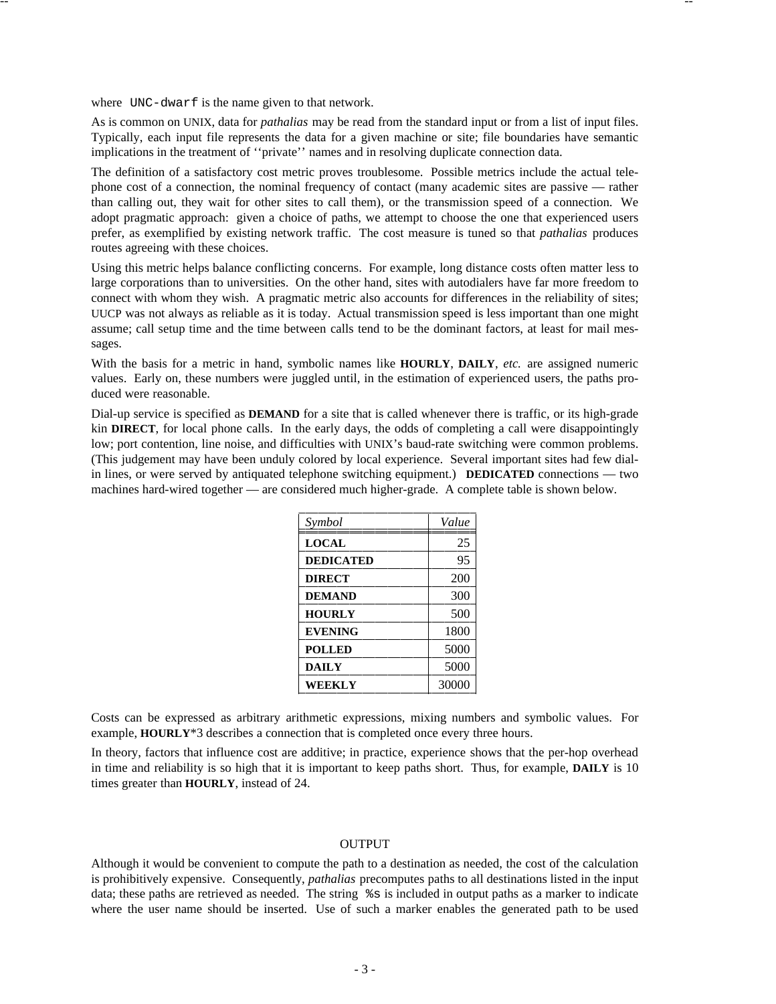where UNC-dwarf is the name given to that network.

As is common on UNIX, data for *pathalias* may be read from the standard input or from a list of input files. Typically, each input file represents the data for a given machine or site; file boundaries have semantic implications in the treatment of ''private'' names and in resolving duplicate connection data.

-- --

The definition of a satisfactory cost metric proves troublesome. Possible metrics include the actual telephone cost of a connection, the nominal frequency of contact (many academic sites are passive — rather than calling out, they wait for other sites to call them), or the transmission speed of a connection. We adopt pragmatic approach: given a choice of paths, we attempt to choose the one that experienced users prefer, as exemplified by existing network traffic. The cost measure is tuned so that *pathalias* produces routes agreeing with these choices.

Using this metric helps balance conflicting concerns. For example, long distance costs often matter less to large corporations than to universities. On the other hand, sites with autodialers have far more freedom to connect with whom they wish. A pragmatic metric also accounts for differences in the reliability of sites; UUCP was not always as reliable as it is today. Actual transmission speed is less important than one might assume; call setup time and the time between calls tend to be the dominant factors, at least for mail messages.

With the basis for a metric in hand, symbolic names like **HOURLY**, **DAILY**, *etc.* are assigned numeric values. Early on, these numbers were juggled until, in the estimation of experienced users, the paths produced were reasonable.

Dial-up service is specified as **DEMAND** for a site that is called whenever there is traffic, or its high-grade kin **DIRECT**, for local phone calls. In the early days, the odds of completing a call were disappointingly low; port contention, line noise, and difficulties with UNIX's baud-rate switching were common problems. (This judgement may have been unduly colored by local experience. Several important sites had few dialin lines, or were served by antiquated telephone switching equipment.) **DEDICATED** connections — two machines hard-wired together — are considered much higher-grade. A complete table is shown below.

| Symbol           | Value |
|------------------|-------|
| <b>LOCAL</b>     | 25    |
| <b>DEDICATED</b> | 95    |
| <b>DIRECT</b>    | 200   |
| <b>DEMAND</b>    | 300   |
| <b>HOURLY</b>    | 500   |
| <b>EVENING</b>   | 1800  |
| <b>POLLED</b>    | 5000  |
| <b>DAILY</b>     | 5000  |
| WEEKLY           | 30000 |

Costs can be expressed as arbitrary arithmetic expressions, mixing numbers and symbolic values. For example, **HOURLY**\*3 describes a connection that is completed once every three hours.

In theory, factors that influence cost are additive; in practice, experience shows that the per-hop overhead in time and reliability is so high that it is important to keep paths short. Thus, for example, **DAILY** is 10 times greater than **HOURLY**, instead of 24.

## OUTPUT

Although it would be convenient to compute the path to a destination as needed, the cost of the calculation is prohibitively expensive. Consequently, *pathalias* precomputes paths to all destinations listed in the input data; these paths are retrieved as needed. The string %s is included in output paths as a marker to indicate where the user name should be inserted. Use of such a marker enables the generated path to be used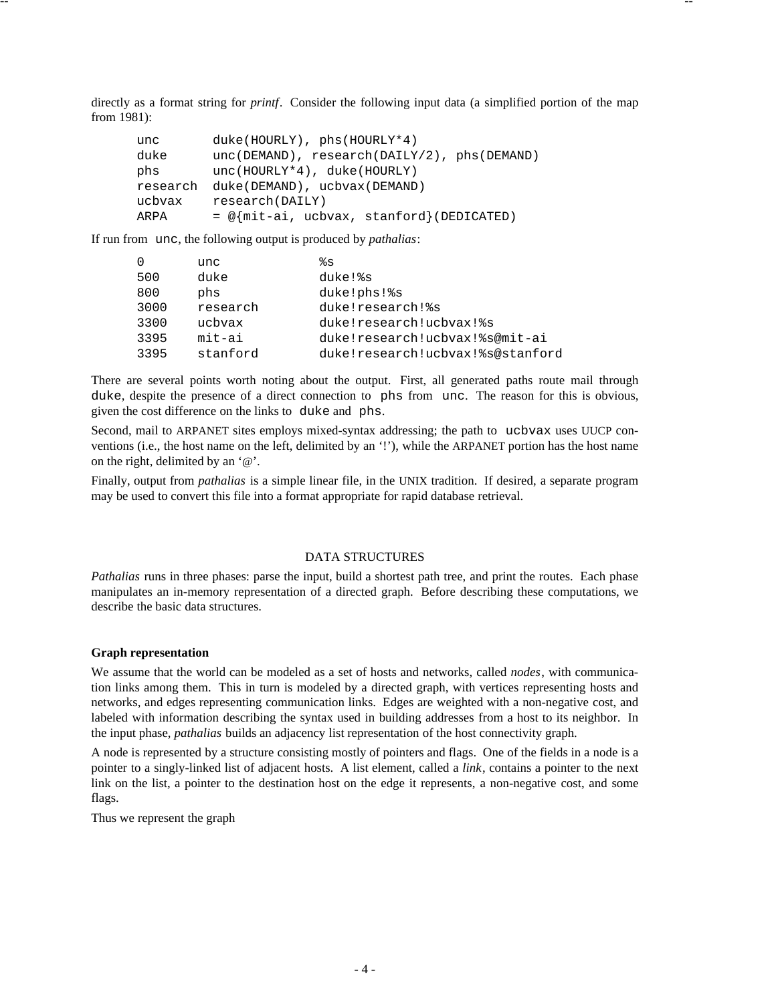directly as a format string for *printf*. Consider the following input data (a simplified portion of the map from 1981):

-- --

```
unc duke(HOURLY), phs(HOURLY*4)
duke unc(DEMAND), research(DAILY/2), phs(DEMAND)
phs unc(HOURLY*4), duke(HOURLY)
research duke(DEMAND), ucbvax(DEMAND)
ucbvax research(DAILY)
ARPA = \mathcal{Q} mit-ai, ucbvax, stanford { (DEDICATED)
```
If run from unc, the following output is produced by *pathalias*:

| $\Omega$ | unc      | န္စိန္သ                          |
|----------|----------|----------------------------------|
| 500      | duke     | duke!%s                          |
| 800      | phs      | duke!phs!%s                      |
| 3000     | research | duke!research!%s                 |
| 3300     | ucbvax   | duke!research!ucbvax!%s          |
| 3395     | mit-ai   | duke!research!ucbvax!%s@mit-ai   |
| 3395     | stanford | duke!research!ucbvax!%s@stanford |

There are several points worth noting about the output. First, all generated paths route mail through duke, despite the presence of a direct connection to phs from unc. The reason for this is obvious, given the cost difference on the links to duke and phs.

Second, mail to ARPANET sites employs mixed-syntax addressing; the path to ucbvax uses UUCP conventions (i.e., the host name on the left, delimited by an '!'), while the ARPANET portion has the host name on the right, delimited by an '@'.

Finally, output from *pathalias* is a simple linear file, in the UNIX tradition. If desired, a separate program may be used to convert this file into a format appropriate for rapid database retrieval.

### DATA STRUCTURES

*Pathalias* runs in three phases: parse the input, build a shortest path tree, and print the routes. Each phase manipulates an in-memory representation of a directed graph. Before describing these computations, we describe the basic data structures.

### **Graph representation**

We assume that the world can be modeled as a set of hosts and networks, called *nodes*, with communication links among them. This in turn is modeled by a directed graph, with vertices representing hosts and networks, and edges representing communication links. Edges are weighted with a non-negative cost, and labeled with information describing the syntax used in building addresses from a host to its neighbor. In the input phase, *pathalias* builds an adjacency list representation of the host connectivity graph.

A node is represented by a structure consisting mostly of pointers and flags. One of the fields in a node is a pointer to a singly-linked list of adjacent hosts. A list element, called a *link*, contains a pointer to the next link on the list, a pointer to the destination host on the edge it represents, a non-negative cost, and some flags.

Thus we represent the graph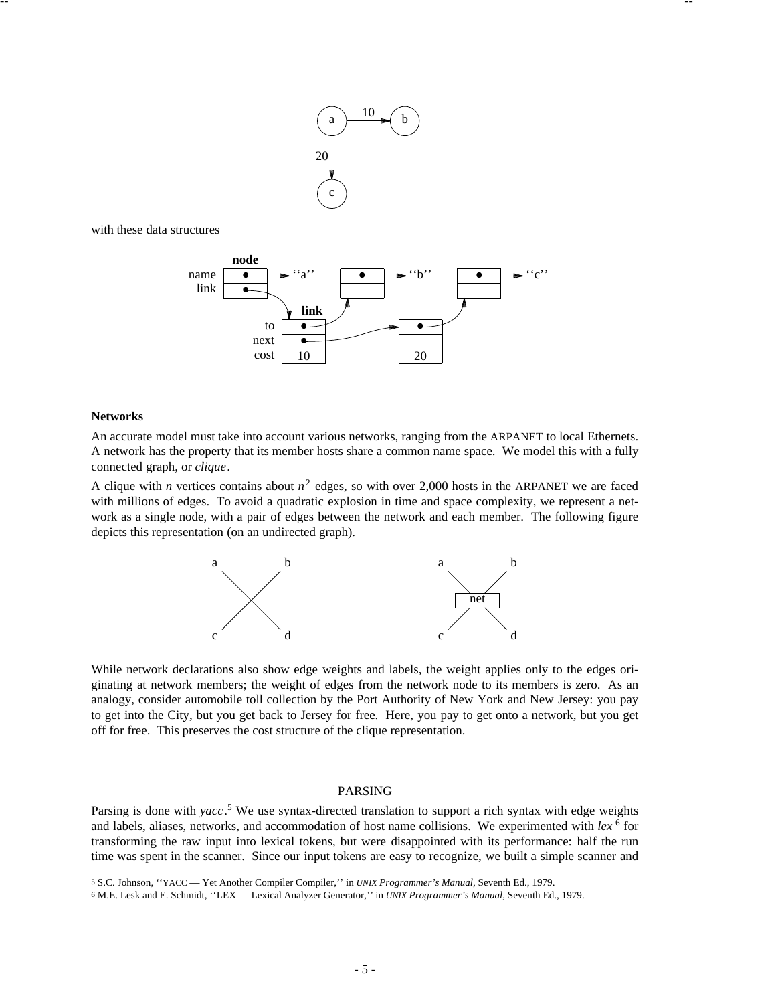

-- --

with these data structures



## **Networks**

An accurate model must take into account various networks, ranging from the ARPANET to local Ethernets. A network has the property that its member hosts share a common name space. We model this with a fully connected graph, or *clique*.

A clique with *n* vertices contains about  $n^2$  edges, so with over 2,000 hosts in the ARPANET we are faced with millions of edges. To avoid a quadratic explosion in time and space complexity, we represent a network as a single node, with a pair of edges between the network and each member. The following figure depicts this representation (on an undirected graph).



While network declarations also show edge weights and labels, the weight applies only to the edges originating at network members; the weight of edges from the network node to its members is zero. As an analogy, consider automobile toll collection by the Port Authority of New York and New Jersey: you pay to get into the City, but you get back to Jersey for free. Here, you pay to get onto a network, but you get off for free. This preserves the cost structure of the clique representation.

## PARSING

Parsing is done with *yacc*. <sup>5</sup> We use syntax-directed translation to support a rich syntax with edge weights and labels, aliases, networks, and accommodation of host name collisions. We experimented with lex<sup>6</sup> for transforming the raw input into lexical tokens, but were disappointed with its performance: half the run time was spent in the scanner. Since our input tokens are easy to recognize, we built a simple scanner and

5 S.C. Johnson, ''YACC — Yet Another Compiler Compiler,'' in *UNIX Programmer's Manual,* Seventh Ed., 1979.

<sup>6</sup> M.E. Lesk and E. Schmidt, ''LEX — Lexical Analyzer Generator,'' in *UNIX Programmer's Manual,* Seventh Ed., 1979.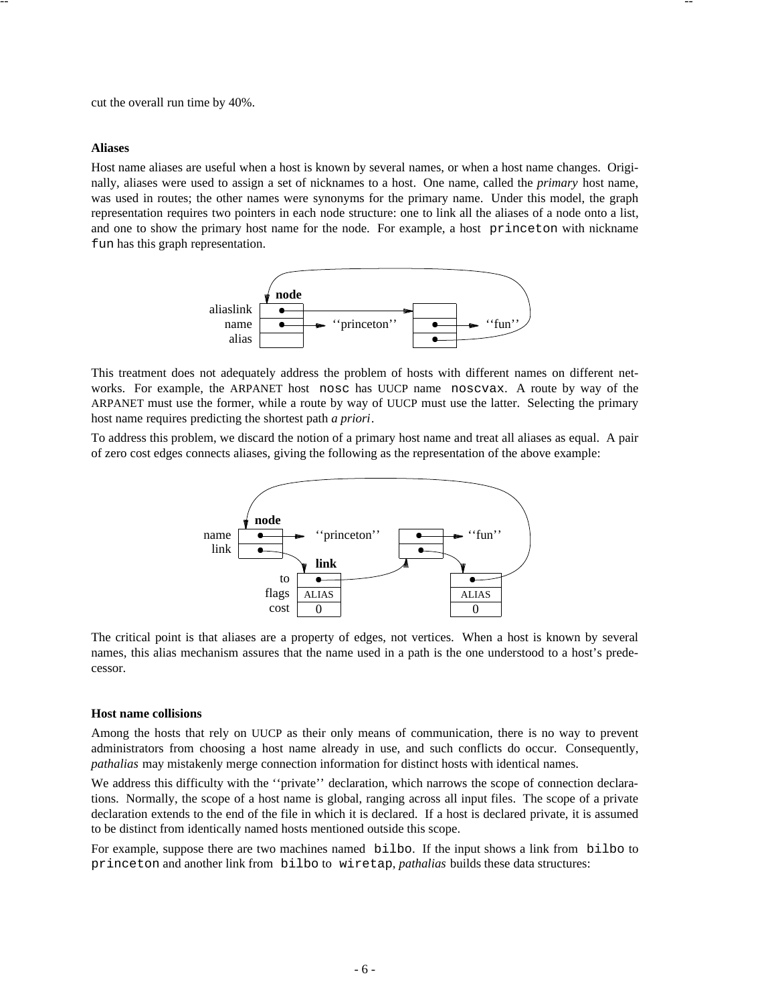cut the overall run time by 40%.

### **Aliases**

Host name aliases are useful when a host is known by several names, or when a host name changes. Originally, aliases were used to assign a set of nicknames to a host. One name, called the *primary* host name, was used in routes; the other names were synonyms for the primary name. Under this model, the graph representation requires two pointers in each node structure: one to link all the aliases of a node onto a list, and one to show the primary host name for the node. For example, a host princeton with nickname fun has this graph representation.

-- --



This treatment does not adequately address the problem of hosts with different names on different networks. For example, the ARPANET host nosc has UUCP name noscvax. A route by way of the ARPANET must use the former, while a route by way of UUCP must use the latter. Selecting the primary host name requires predicting the shortest path *a priori*.

To address this problem, we discard the notion of a primary host name and treat all aliases as equal. A pair of zero cost edges connects aliases, giving the following as the representation of the above example:



The critical point is that aliases are a property of edges, not vertices. When a host is known by several names, this alias mechanism assures that the name used in a path is the one understood to a host's predecessor.

#### **Host name collisions**

Among the hosts that rely on UUCP as their only means of communication, there is no way to prevent administrators from choosing a host name already in use, and such conflicts do occur. Consequently, *pathalias* may mistakenly merge connection information for distinct hosts with identical names.

We address this difficulty with the "private" declaration, which narrows the scope of connection declarations. Normally, the scope of a host name is global, ranging across all input files. The scope of a private declaration extends to the end of the file in which it is declared. If a host is declared private, it is assumed to be distinct from identically named hosts mentioned outside this scope.

For example, suppose there are two machines named bilbo. If the input shows a link from bilbo to princeton and another link from bilbo to wiretap, *pathalias* builds these data structures: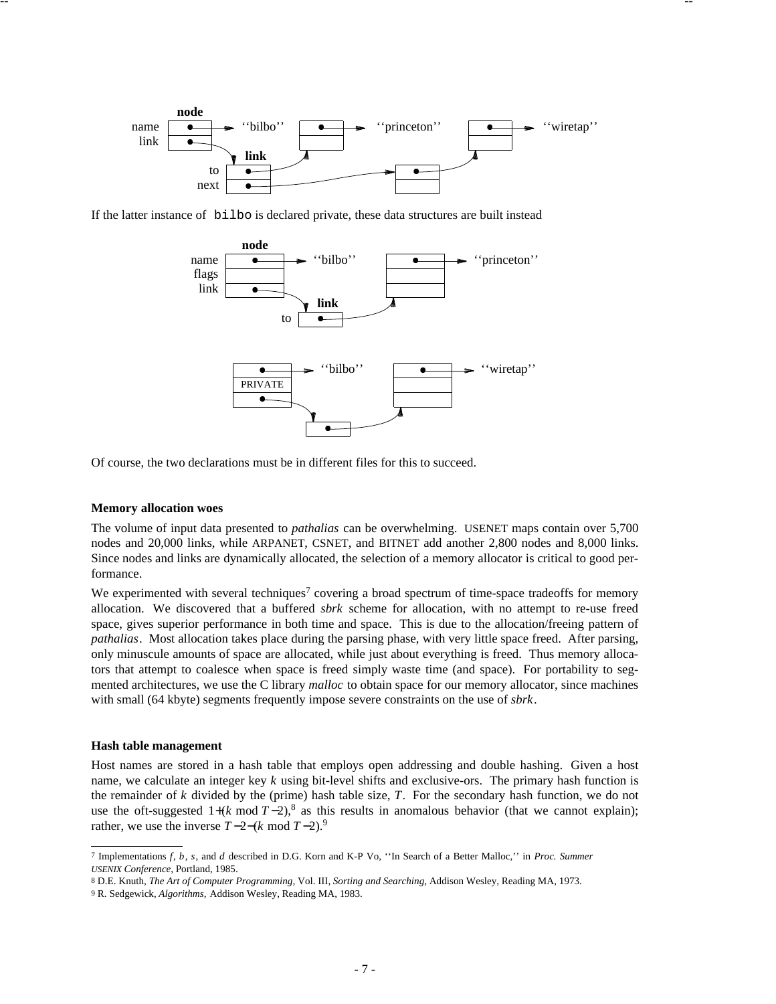

-- --

If the latter instance of bilbo is declared private, these data structures are built instead



Of course, the two declarations must be in different files for this to succeed.

### **Memory allocation woes**

The volume of input data presented to *pathalias* can be overwhelming. USENET maps contain over 5,700 nodes and 20,000 links, while ARPANET, CSNET, and BITNET add another 2,800 nodes and 8,000 links. Since nodes and links are dynamically allocated, the selection of a memory allocator is critical to good performance.

We experimented with several techniques<sup>7</sup> covering a broad spectrum of time-space tradeoffs for memory allocation. We discovered that a buffered *sbrk* scheme for allocation, with no attempt to re-use freed space, gives superior performance in both time and space. This is due to the allocation/freeing pattern of *pathalias*. Most allocation takes place during the parsing phase, with very little space freed. After parsing, only minuscule amounts of space are allocated, while just about everything is freed. Thus memory allocators that attempt to coalesce when space is freed simply waste time (and space). For portability to segmented architectures, we use the C library *malloc* to obtain space for our memory allocator, since machines with small (64 kbyte) segments frequently impose severe constraints on the use of *sbrk*.

### **Hash table management**

Host names are stored in a hash table that employs open addressing and double hashing. Given a host name, we calculate an integer key *k* using bit-level shifts and exclusive-ors. The primary hash function is the remainder of *k* divided by the (prime) hash table size, *T*. For the secondary hash function, we do not use the oft-suggested  $1+(k \mod T-2)$ ,<sup>8</sup> as this results in anomalous behavior (that we cannot explain); rather, we use the inverse  $T-2-(k \mod T-2)$ .<sup>9</sup>

<sup>7</sup> Implementations *f*, *b*, *s*, and *d* described in D.G. Korn and K-P Vo, ''In Search of a Better Malloc,'' in *Proc. Summer USENIX Conference,* Portland, 1985.

<sup>8</sup> D.E. Knuth, *The Art of Computer Programming,* Vol. III, *Sorting and Searching,* Addison Wesley, Reading MA, 1973.

<sup>9</sup> R. Sedgewick, *Algorithms,* Addison Wesley, Reading MA, 1983.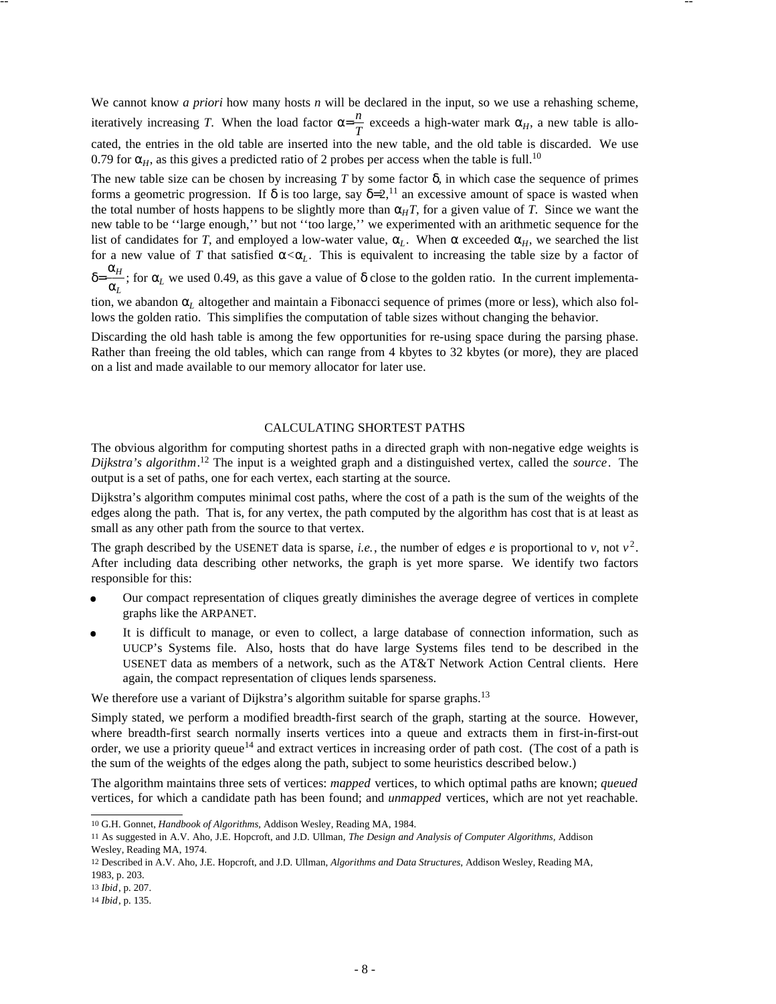We cannot know *a priori* how many hosts *n* will be declared in the input, so we use a rehashing scheme, iteratively increasing *T*. When the load factor  $\alpha = \frac{n}{T}$  $\frac{n}{T}$  exceeds a high-water mark  $\alpha_H$ , a new table is allocated, the entries in the old table are inserted into the new table, and the old table is discarded. We use 0.79 for  $\alpha_H$ , as this gives a predicted ratio of 2 probes per access when the table is full.<sup>10</sup>

-- --

The new table size can be chosen by increasing  $T$  by some factor  $\delta$ , in which case the sequence of primes forms a geometric progression. If  $\delta$  is too large, say  $\delta=2$ ,<sup>11</sup> an excessive amount of space is wasted when the total number of hosts happens to be slightly more than  $\alpha_H T$ , for a given value of *T*. Since we want the new table to be ''large enough,'' but not ''too large,'' we experimented with an arithmetic sequence for the list of candidates for *T*, and employed a low-water value,  $\alpha_L$ . When  $\alpha$  exceeded  $\alpha_H$ , we searched the list for a new value of *T* that satisfied  $\alpha < \alpha_L$ . This is equivalent to increasing the table size by a factor of δ= α*L*  $\frac{\alpha_H}{\alpha}$ ; for  $\alpha_L$  we used 0.49, as this gave a value of  $\delta$  close to the golden ratio. In the current implementa-

tion, we abandon  $\alpha$ <sub>L</sub> altogether and maintain a Fibonacci sequence of primes (more or less), which also follows the golden ratio. This simplifies the computation of table sizes without changing the behavior.

Discarding the old hash table is among the few opportunities for re-using space during the parsing phase. Rather than freeing the old tables, which can range from 4 kbytes to 32 kbytes (or more), they are placed on a list and made available to our memory allocator for later use.

### CALCULATING SHORTEST PATHS

The obvious algorithm for computing shortest paths in a directed graph with non-negative edge weights is *Dijkstra's algorithm*. <sup>12</sup> The input is a weighted graph and a distinguished vertex, called the *source*. The output is a set of paths, one for each vertex, each starting at the source.

Dijkstra's algorithm computes minimal cost paths, where the cost of a path is the sum of the weights of the edges along the path. That is, for any vertex, the path computed by the algorithm has cost that is at least as small as any other path from the source to that vertex.

The graph described by the USENET data is sparse, *i.e.*, the number of edges *e* is proportional to *v*, not  $v^2$ . After including data describing other networks, the graph is yet more sparse. We identify two factors responsible for this:

- Our compact representation of cliques greatly diminishes the average degree of vertices in complete graphs like the ARPANET.
- % It is difficult to manage, or even to collect, a large database of connection information, such as UUCP's Systems file. Also, hosts that do have large Systems files tend to be described in the USENET data as members of a network, such as the AT&T Network Action Central clients. Here again, the compact representation of cliques lends sparseness.

We therefore use a variant of Dijkstra's algorithm suitable for sparse graphs.<sup>13</sup>

Simply stated, we perform a modified breadth-first search of the graph, starting at the source. However, where breadth-first search normally inserts vertices into a queue and extracts them in first-in-first-out order, we use a priority queue<sup>14</sup> and extract vertices in increasing order of path cost. (The cost of a path is the sum of the weights of the edges along the path, subject to some heuristics described below.)

The algorithm maintains three sets of vertices: *mapped* vertices, to which optimal paths are known; *queued* vertices, for which a candidate path has been found; and *unmapped* vertices, which are not yet reachable.

&&&&&&&&&&&&&&&&&&

<sup>10</sup> G.H. Gonnet, *Handbook of Algorithms,* Addison Wesley, Reading MA, 1984.

<sup>11</sup> As suggested in A.V. Aho, J.E. Hopcroft, and J.D. Ullman, *The Design and Analysis of Computer Algorithms,* Addison Wesley, Reading MA, 1974.

<sup>12</sup> Described in A.V. Aho, J.E. Hopcroft, and J.D. Ullman, *Algorithms and Data Structures,* Addison Wesley, Reading MA, 1983, p. 203.

<sup>13</sup> *Ibid*, p. 207.

<sup>14</sup> *Ibid*, p. 135.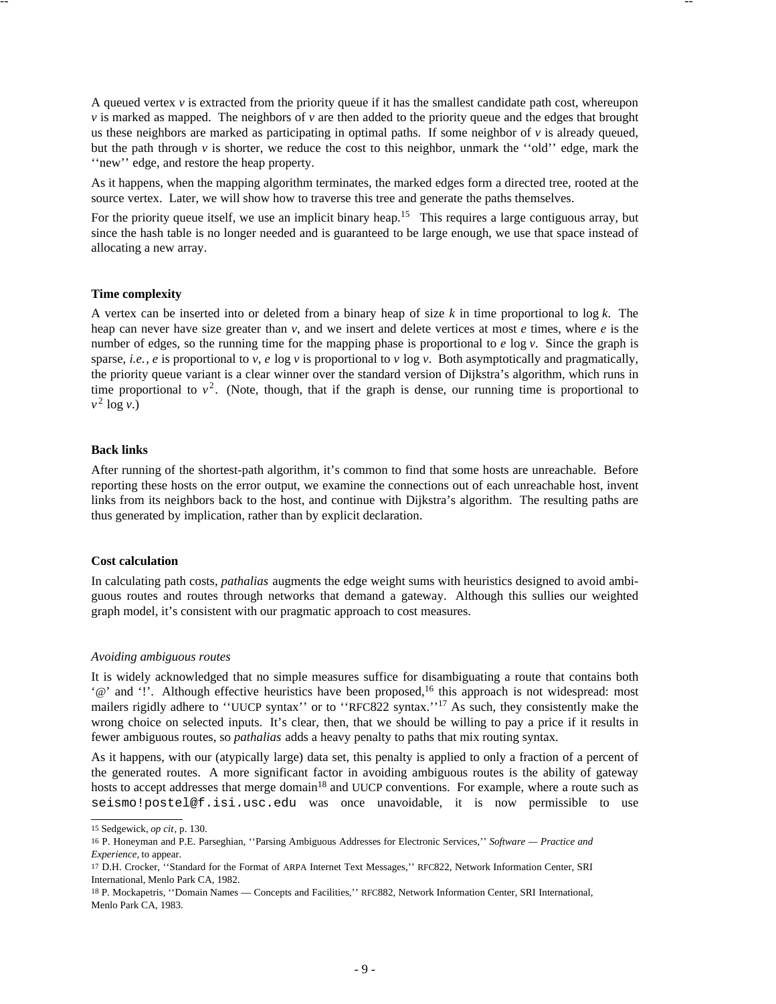A queued vertex *v* is extracted from the priority queue if it has the smallest candidate path cost, whereupon *v* is marked as mapped. The neighbors of *v* are then added to the priority queue and the edges that brought us these neighbors are marked as participating in optimal paths. If some neighbor of  $\nu$  is already queued, but the path through *v* is shorter, we reduce the cost to this neighbor, unmark the ''old'' edge, mark the ''new'' edge, and restore the heap property.

-- --

As it happens, when the mapping algorithm terminates, the marked edges form a directed tree, rooted at the source vertex. Later, we will show how to traverse this tree and generate the paths themselves.

For the priority queue itself, we use an implicit binary heap.<sup>15</sup> This requires a large contiguous array, but since the hash table is no longer needed and is guaranteed to be large enough, we use that space instead of allocating a new array.

### **Time complexity**

A vertex can be inserted into or deleted from a binary heap of size *k* in time proportional to log *k*. The heap can never have size greater than  $v$ , and we insert and delete vertices at most  $e$  times, where  $e$  is the number of edges, so the running time for the mapping phase is proportional to *e* log *v*. Since the graph is sparse, *i.e.*, *e* is proportional to *v*, *e* log *v* is proportional to *v* log *v*. Both asymptotically and pragmatically, the priority queue variant is a clear winner over the standard version of Dijkstra's algorithm, which runs in time proportional to  $v^2$ . (Note, though, that if the graph is dense, our running time is proportional to  $v^2$  log *v*.)

### **Back links**

After running of the shortest-path algorithm, it's common to find that some hosts are unreachable. Before reporting these hosts on the error output, we examine the connections out of each unreachable host, invent links from its neighbors back to the host, and continue with Dijkstra's algorithm. The resulting paths are thus generated by implication, rather than by explicit declaration.

#### **Cost calculation**

In calculating path costs, *pathalias* augments the edge weight sums with heuristics designed to avoid ambiguous routes and routes through networks that demand a gateway. Although this sullies our weighted graph model, it's consistent with our pragmatic approach to cost measures.

## *Avoiding ambiguous routes*

It is widely acknowledged that no simple measures suffice for disambiguating a route that contains both '@' and '!'. Although effective heuristics have been proposed,<sup>16</sup> this approach is not widespread: most mailers rigidly adhere to "UUCP syntax" or to "RFC822 syntax."<sup>17</sup> As such, they consistently make the wrong choice on selected inputs. It's clear, then, that we should be willing to pay a price if it results in fewer ambiguous routes, so *pathalias* adds a heavy penalty to paths that mix routing syntax.

As it happens, with our (atypically large) data set, this penalty is applied to only a fraction of a percent of the generated routes. A more significant factor in avoiding ambiguous routes is the ability of gateway hosts to accept addresses that merge domain<sup>18</sup> and UUCP conventions. For example, where a route such as seismo!postel@f.isi.usc.edu was once unavoidable, it is now permissible to use

''''''''''''''''''

<sup>15</sup> Sedgewick, *op cit*, p. 130.

<sup>16</sup> P. Honeyman and P.E. Parseghian, ''Parsing Ambiguous Addresses for Electronic Services,'' *Software — Practice and Experience,* to appear.

<sup>17</sup> D.H. Crocker, ''Standard for the Format of ARPA Internet Text Messages,'' RFC822, Network Information Center, SRI International, Menlo Park CA, 1982.

<sup>18</sup> P. Mockapetris, ''Domain Names — Concepts and Facilities,'' RFC882, Network Information Center, SRI International, Menlo Park CA, 1983.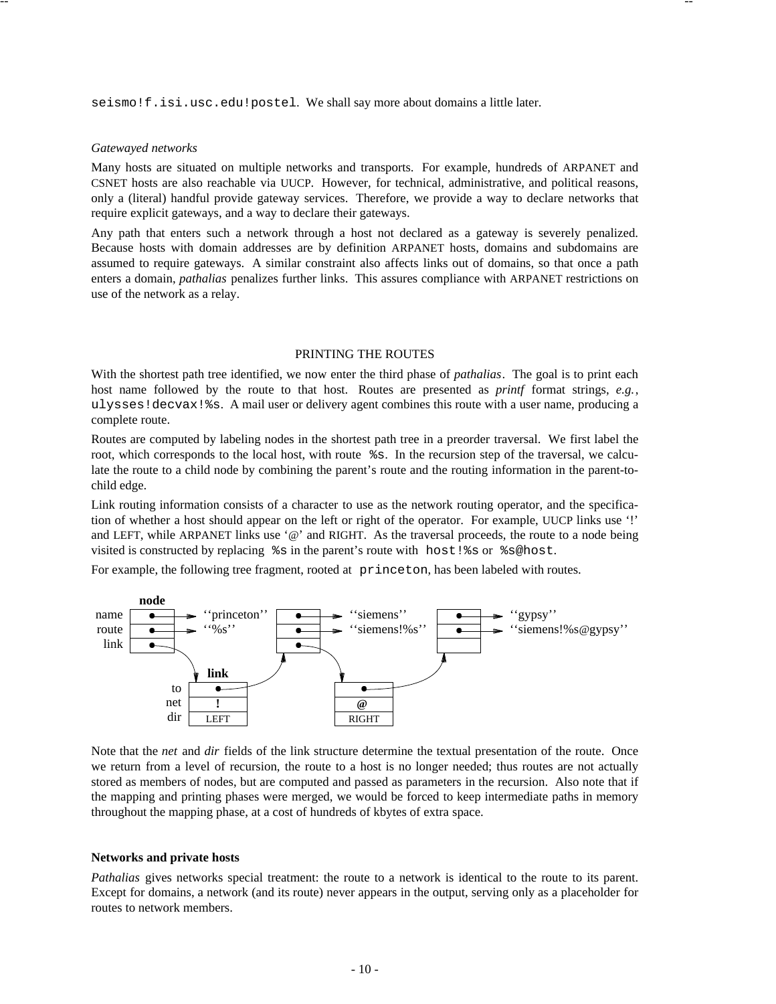seismo!f.isi.usc.edu!postel. We shall say more about domains a little later.

-- --

### *Gatewayed networks*

Many hosts are situated on multiple networks and transports. For example, hundreds of ARPANET and CSNET hosts are also reachable via UUCP. However, for technical, administrative, and political reasons, only a (literal) handful provide gateway services. Therefore, we provide a way to declare networks that require explicit gateways, and a way to declare their gateways.

Any path that enters such a network through a host not declared as a gateway is severely penalized. Because hosts with domain addresses are by definition ARPANET hosts, domains and subdomains are assumed to require gateways. A similar constraint also affects links out of domains, so that once a path enters a domain, *pathalias* penalizes further links. This assures compliance with ARPANET restrictions on use of the network as a relay.

### PRINTING THE ROUTES

With the shortest path tree identified, we now enter the third phase of *pathalias*. The goal is to print each host name followed by the route to that host. Routes are presented as *printf* format strings, *e.g.*, ulysses!decvax!%s. A mail user or delivery agent combines this route with a user name, producing a complete route.

Routes are computed by labeling nodes in the shortest path tree in a preorder traversal. We first label the root, which corresponds to the local host, with route  $\hat{\mathscr{E}}$ s. In the recursion step of the traversal, we calculate the route to a child node by combining the parent's route and the routing information in the parent-tochild edge.

Link routing information consists of a character to use as the network routing operator, and the specification of whether a host should appear on the left or right of the operator. For example, UUCP links use '!' and LEFT, while ARPANET links use '@' and RIGHT. As the traversal proceeds, the route to a node being visited is constructed by replacing %s in the parent's route with host!%s or %s@host.

For example, the following tree fragment, rooted at princeton, has been labeled with routes.



Note that the *net* and *dir* fields of the link structure determine the textual presentation of the route. Once we return from a level of recursion, the route to a host is no longer needed; thus routes are not actually stored as members of nodes, but are computed and passed as parameters in the recursion. Also note that if the mapping and printing phases were merged, we would be forced to keep intermediate paths in memory throughout the mapping phase, at a cost of hundreds of kbytes of extra space.

#### **Networks and private hosts**

*Pathalias* gives networks special treatment: the route to a network is identical to the route to its parent. Except for domains, a network (and its route) never appears in the output, serving only as a placeholder for routes to network members.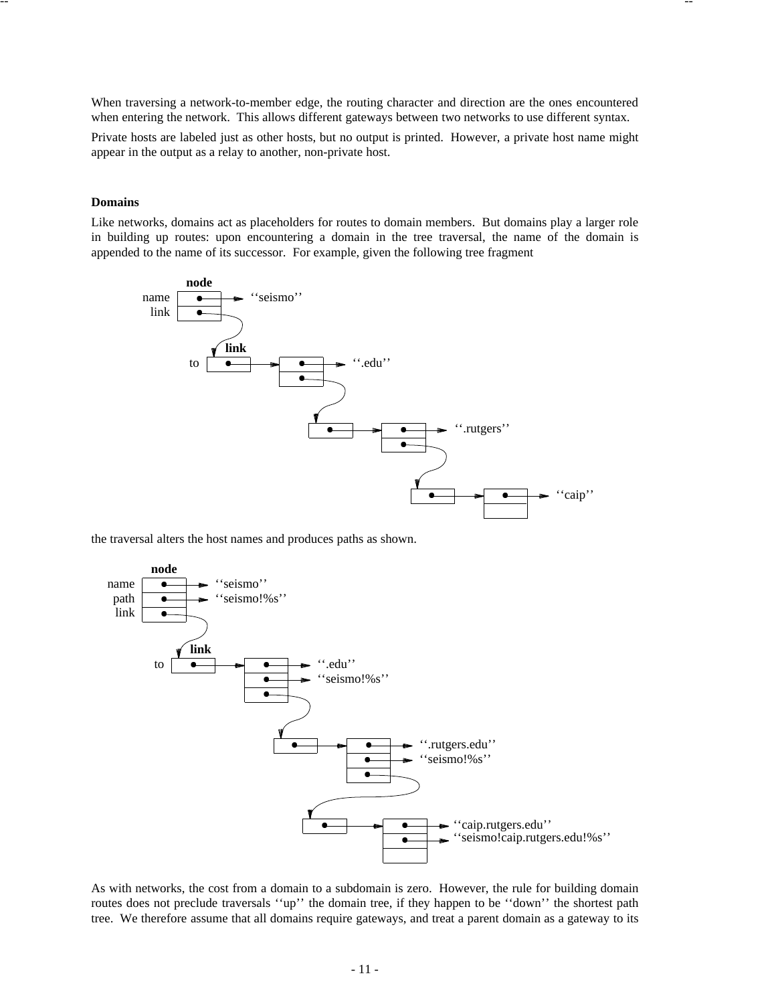When traversing a network-to-member edge, the routing character and direction are the ones encountered when entering the network. This allows different gateways between two networks to use different syntax.

-- --

Private hosts are labeled just as other hosts, but no output is printed. However, a private host name might appear in the output as a relay to another, non-private host.

## **Domains**

Like networks, domains act as placeholders for routes to domain members. But domains play a larger role in building up routes: upon encountering a domain in the tree traversal, the name of the domain is appended to the name of its successor. For example, given the following tree fragment



the traversal alters the host names and produces paths as shown.



As with networks, the cost from a domain to a subdomain is zero. However, the rule for building domain routes does not preclude traversals "up" the domain tree, if they happen to be "down" the shortest path tree. We therefore assume that all domains require gateways, and treat a parent domain as a gateway to its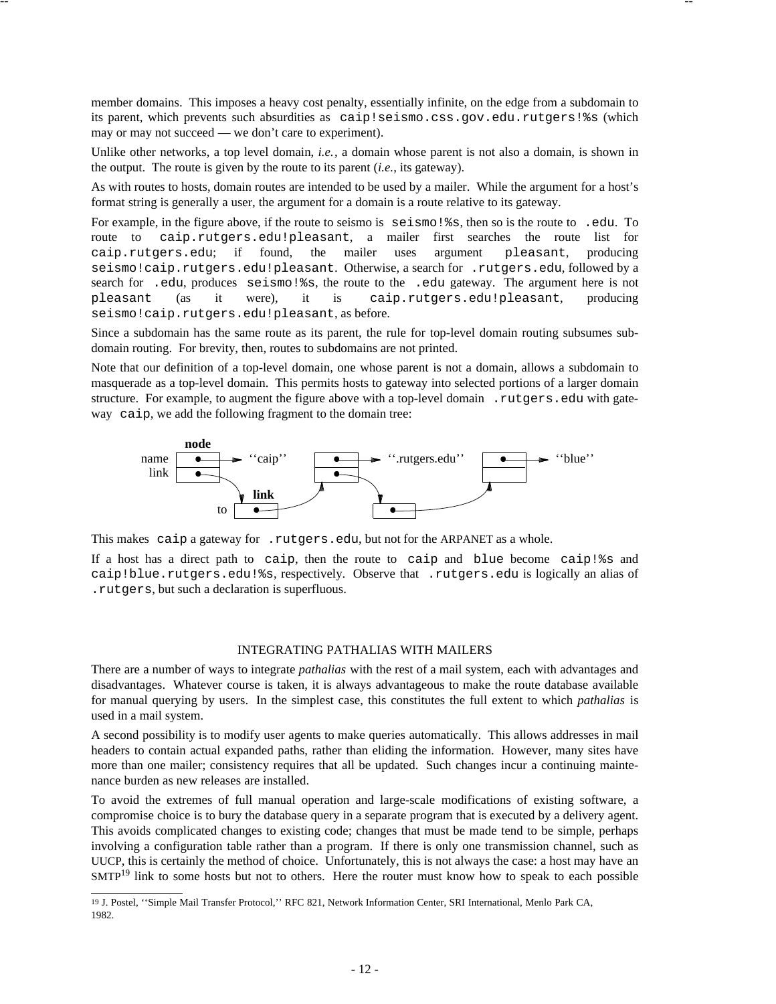member domains. This imposes a heavy cost penalty, essentially infinite, on the edge from a subdomain to its parent, which prevents such absurdities as caip!seismo.css.gov.edu.rutgers!%s (which may or may not succeed — we don't care to experiment).

-- --

Unlike other networks, a top level domain, *i.e.*, a domain whose parent is not also a domain, is shown in the output. The route is given by the route to its parent (*i.e.*, its gateway).

As with routes to hosts, domain routes are intended to be used by a mailer. While the argument for a host's format string is generally a user, the argument for a domain is a route relative to its gateway.

For example, in the figure above, if the route to seismo is seismo!%s, then so is the route to .edu. To route to caip.rutgers.edu!pleasant, a mailer first searches the route list for caip.rutgers.edu; if found, the mailer uses argument pleasant, producing seismo!caip.rutgers.edu!pleasant. Otherwise, a search for .rutgers.edu, followed by a search for .edu, produces seismo!%s, the route to the .edu gateway. The argument here is not pleasant (as it were), it is caip.rutgers.edu!pleasant, producing seismo!caip.rutgers.edu!pleasant, as before.

Since a subdomain has the same route as its parent, the rule for top-level domain routing subsumes subdomain routing. For brevity, then, routes to subdomains are not printed.

Note that our definition of a top-level domain, one whose parent is not a domain, allows a subdomain to masquerade as a top-level domain. This permits hosts to gateway into selected portions of a larger domain structure. For example, to augment the figure above with a top-level domain .rutgers.edu with gateway caip, we add the following fragment to the domain tree:



This makes caip a gateway for .rutgers.edu, but not for the ARPANET as a whole.

If a host has a direct path to caip, then the route to caip and blue become caip!%s and caip!blue.rutgers.edu!%s, respectively. Observe that .rutgers.edu is logically an alias of .rutgers, but such a declaration is superfluous.

# INTEGRATING PATHALIAS WITH MAILERS

There are a number of ways to integrate *pathalias* with the rest of a mail system, each with advantages and disadvantages. Whatever course is taken, it is always advantageous to make the route database available for manual querying by users. In the simplest case, this constitutes the full extent to which *pathalias* is used in a mail system.

A second possibility is to modify user agents to make queries automatically. This allows addresses in mail headers to contain actual expanded paths, rather than eliding the information. However, many sites have more than one mailer; consistency requires that all be updated. Such changes incur a continuing maintenance burden as new releases are installed.

To avoid the extremes of full manual operation and large-scale modifications of existing software, a compromise choice is to bury the database query in a separate program that is executed by a delivery agent. This avoids complicated changes to existing code; changes that must be made tend to be simple, perhaps involving a configuration table rather than a program. If there is only one transmission channel, such as UUCP, this is certainly the method of choice. Unfortunately, this is not always the case: a host may have an SMTP<sup>19</sup> link to some hosts but not to others. Here the router must know how to speak to each possible

<<<<<<<<<<<<<<<<<<

<sup>19</sup> J. Postel, ''Simple Mail Transfer Protocol,'' RFC 821, Network Information Center, SRI International, Menlo Park CA, 1982.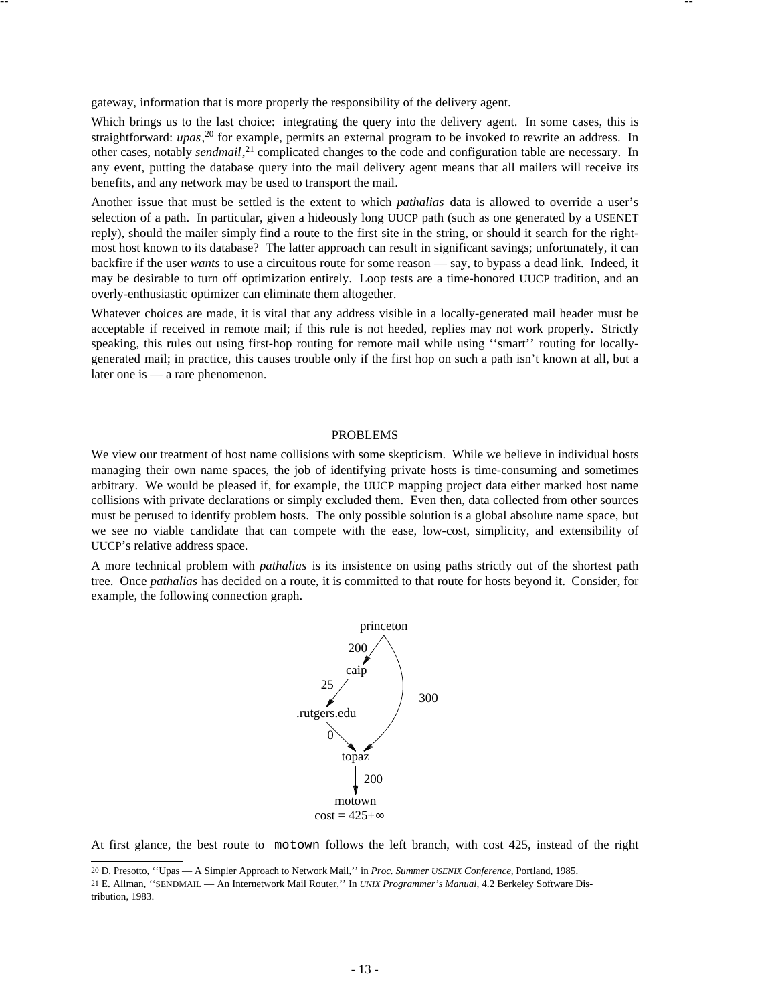gateway, information that is more properly the responsibility of the delivery agent.

Which brings us to the last choice: integrating the query into the delivery agent. In some cases, this is straightforward: *upas*, <sup>20</sup> for example, permits an external program to be invoked to rewrite an address. In other cases, notably *sendmail*, <sup>21</sup> complicated changes to the code and configuration table are necessary. In any event, putting the database query into the mail delivery agent means that all mailers will receive its benefits, and any network may be used to transport the mail.

-- --

Another issue that must be settled is the extent to which *pathalias* data is allowed to override a user's selection of a path. In particular, given a hideously long UUCP path (such as one generated by a USENET reply), should the mailer simply find a route to the first site in the string, or should it search for the rightmost host known to its database? The latter approach can result in significant savings; unfortunately, it can backfire if the user *wants* to use a circuitous route for some reason — say, to bypass a dead link. Indeed, it may be desirable to turn off optimization entirely. Loop tests are a time-honored UUCP tradition, and an overly-enthusiastic optimizer can eliminate them altogether.

Whatever choices are made, it is vital that any address visible in a locally-generated mail header must be acceptable if received in remote mail; if this rule is not heeded, replies may not work properly. Strictly speaking, this rules out using first-hop routing for remote mail while using "smart" routing for locallygenerated mail; in practice, this causes trouble only if the first hop on such a path isn't known at all, but a later one is — a rare phenomenon.

#### PROBLEMS

We view our treatment of host name collisions with some skepticism. While we believe in individual hosts managing their own name spaces, the job of identifying private hosts is time-consuming and sometimes arbitrary. We would be pleased if, for example, the UUCP mapping project data either marked host name collisions with private declarations or simply excluded them. Even then, data collected from other sources must be perused to identify problem hosts. The only possible solution is a global absolute name space, but we see no viable candidate that can compete with the ease, low-cost, simplicity, and extensibility of UUCP's relative address space.

A more technical problem with *pathalias* is its insistence on using paths strictly out of the shortest path tree. Once *pathalias* has decided on a route, it is committed to that route for hosts beyond it. Consider, for example, the following connection graph.



At first glance, the best route to motown follows the left branch, with cost 425, instead of the right

==================

<sup>20</sup> D. Presotto, ''Upas — A Simpler Approach to Network Mail,'' in *Proc. Summer USENIX Conference,* Portland, 1985.

<sup>21</sup> E. Allman, ''SENDMAIL — An Internetwork Mail Router,'' In *UNIX Programmer's Manual,* 4.2 Berkeley Software Distribution, 1983.

<sup>-</sup> 13 -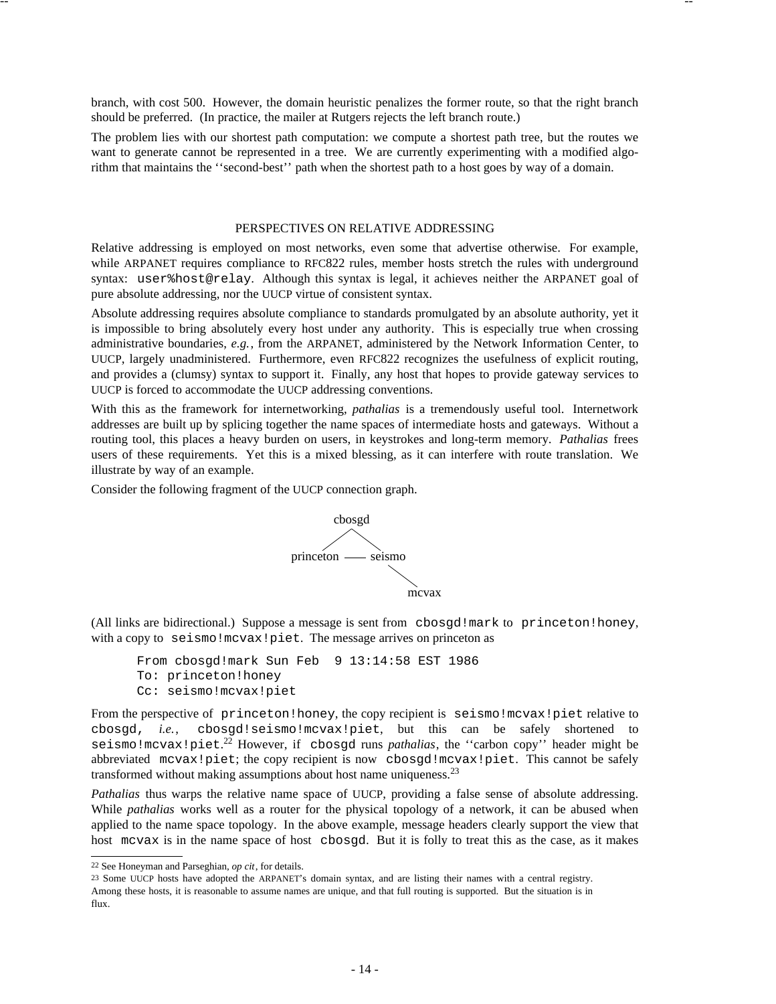branch, with cost 500. However, the domain heuristic penalizes the former route, so that the right branch should be preferred. (In practice, the mailer at Rutgers rejects the left branch route.)

-- --

The problem lies with our shortest path computation: we compute a shortest path tree, but the routes we want to generate cannot be represented in a tree. We are currently experimenting with a modified algorithm that maintains the ''second-best'' path when the shortest path to a host goes by way of a domain.

## PERSPECTIVES ON RELATIVE ADDRESSING

Relative addressing is employed on most networks, even some that advertise otherwise. For example, while ARPANET requires compliance to RFC822 rules, member hosts stretch the rules with underground syntax: user%host@relay. Although this syntax is legal, it achieves neither the ARPANET goal of pure absolute addressing, nor the UUCP virtue of consistent syntax.

Absolute addressing requires absolute compliance to standards promulgated by an absolute authority, yet it is impossible to bring absolutely every host under any authority. This is especially true when crossing administrative boundaries, *e.g.*, from the ARPANET, administered by the Network Information Center, to UUCP, largely unadministered. Furthermore, even RFC822 recognizes the usefulness of explicit routing, and provides a (clumsy) syntax to support it. Finally, any host that hopes to provide gateway services to UUCP is forced to accommodate the UUCP addressing conventions.

With this as the framework for internetworking, *pathalias* is a tremendously useful tool. Internetwork addresses are built up by splicing together the name spaces of intermediate hosts and gateways. Without a routing tool, this places a heavy burden on users, in keystrokes and long-term memory. *Pathalias* frees users of these requirements. Yet this is a mixed blessing, as it can interfere with route translation. We illustrate by way of an example.

Consider the following fragment of the UUCP connection graph.



(All links are bidirectional.) Suppose a message is sent from cbosgd!mark to princeton!honey, with a copy to seismo! mcvax! piet. The message arrives on princeton as

```
From cbosgd!mark Sun Feb 9 13:14:58 EST 1986
To: princeton!honey
Cc: seismo!mcvax!piet
```
From the perspective of princeton!honey, the copy recipient is seismo!mcvax!piet relative to cbosgd, *i.e.*, cbosgd!seismo!mcvax!piet, but this can be safely shortened to seismo!mcvax!piet. <sup>22</sup> However, if cbosgd runs *pathalias*, the ''carbon copy'' header might be abbreviated mcvax!piet; the copy recipient is now cbosgd!mcvax!piet. This cannot be safely transformed without making assumptions about host name uniqueness.<sup>23</sup>

*Pathalias* thus warps the relative name space of UUCP, providing a false sense of absolute addressing. While *pathalias* works well as a router for the physical topology of a network, it can be abused when applied to the name space topology. In the above example, message headers clearly support the view that host mcvax is in the name space of host cbosgd. But it is folly to treat this as the case, as it makes

>>>>>>>>>>>>>>>>>>

<sup>22</sup> See Honeyman and Parseghian, *op cit*, for details.

<sup>23</sup> Some UUCP hosts have adopted the ARPANET's domain syntax, and are listing their names with a central registry. Among these hosts, it is reasonable to assume names are unique, and that full routing is supported. But the situation is in flux.